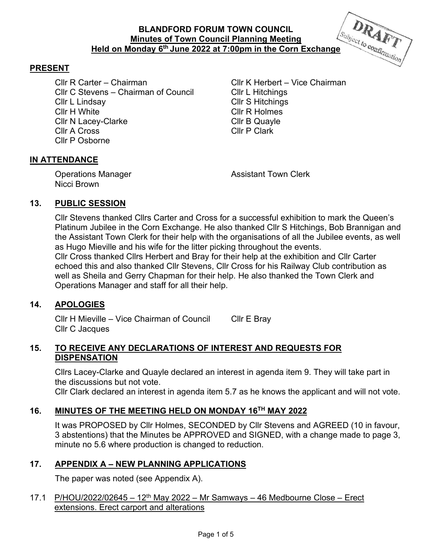

## **PRESENT**

Cllr R Carter – Chairman Cllr K Herbert – Vice Chairman Cllr C Stevens – Chairman of Council Cllr L Hitchings Cllr L Lindsay Cllr S Hitchings Cllr H White Cllr R Holmes Cllr N Lacey-Clarke Cllr B Quayle Cllr A Cross Cllr P Clark Cllr P Osborne

## **IN ATTENDANCE**

Operations Manager **Assistant Town Clerk** Controllering Manager Nicci Brown

### **13. PUBLIC SESSION**

Cllr Stevens thanked Cllrs Carter and Cross for a successful exhibition to mark the Queen's Platinum Jubilee in the Corn Exchange. He also thanked Cllr S Hitchings, Bob Brannigan and the Assistant Town Clerk for their help with the organisations of all the Jubilee events, as well as Hugo Mieville and his wife for the litter picking throughout the events. Cllr Cross thanked Cllrs Herbert and Bray for their help at the exhibition and Cllr Carter echoed this and also thanked Cllr Stevens, Cllr Cross for his Railway Club contribution as well as Sheila and Gerry Chapman for their help. He also thanked the Town Clerk and Operations Manager and staff for all their help.

#### **14. APOLOGIES**

Cllr H Mieville – Vice Chairman of Council Cllr E Bray Cllr C Jacques

#### **15. TO RECEIVE ANY DECLARATIONS OF INTEREST AND REQUESTS FOR DISPENSATION**

Cllrs Lacey-Clarke and Quayle declared an interest in agenda item 9. They will take part in the discussions but not vote.

Cllr Clark declared an interest in agenda item 5.7 as he knows the applicant and will not vote.

# **16. MINUTES OF THE MEETING HELD ON MONDAY 16TH MAY 2022**

It was PROPOSED by Cllr Holmes, SECONDED by Cllr Stevens and AGREED (10 in favour, 3 abstentions) that the Minutes be APPROVED and SIGNED, with a change made to page 3, minute no 5.6 where production is changed to reduction.

### **17. APPENDIX A – NEW PLANNING APPLICATIONS**

The paper was noted (see Appendix A).

## 17.1 P/HOU/2022/02645 – 12<sup>th</sup> May 2022 – Mr Samways – 46 Medbourne Close – Erect extensions. Erect carport and alterations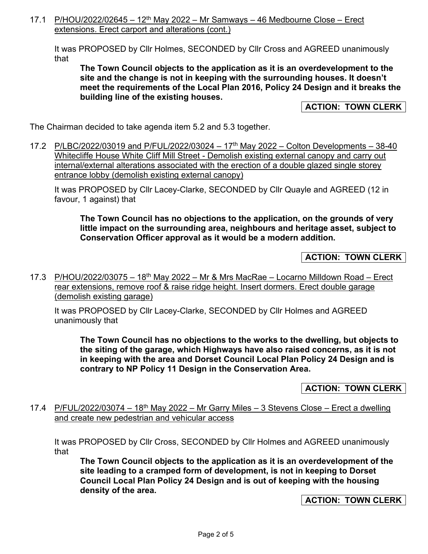17.1 P/HOU/2022/02645 – 12<sup>th</sup> May 2022 – Mr Samways – 46 Medbourne Close – Erect extensions. Erect carport and alterations (cont.)

It was PROPOSED by Cllr Holmes, SECONDED by Cllr Cross and AGREED unanimously that

**The Town Council objects to the application as it is an overdevelopment to the site and the change is not in keeping with the surrounding houses. It doesn't meet the requirements of the Local Plan 2016, Policy 24 Design and it breaks the building line of the existing houses.** 

**ACTION: TOWN CLERK** 

The Chairman decided to take agenda item 5.2 and 5.3 together.

17.2 P/LBC/2022/03019 and P/FUL/2022/03024 - 17<sup>th</sup> May 2022 - Colton Developments - 38-40 Whitecliffe House White Cliff Mill Street - Demolish existing external canopy and carry out internal/external alterations associated with the erection of a double glazed single storey entrance lobby (demolish existing external canopy)

It was PROPOSED by Cllr Lacey-Clarke, SECONDED by Cllr Quayle and AGREED (12 in favour, 1 against) that

**The Town Council has no objections to the application, on the grounds of very little impact on the surrounding area, neighbours and heritage asset, subject to Conservation Officer approval as it would be a modern addition.** 

## **ACTION: TOWN CLERK**

17.3 P/HOU/2022/03075 - 18<sup>th</sup> May 2022 - Mr & Mrs MacRae - Locarno Milldown Road - Erect rear extensions, remove roof & raise ridge height. Insert dormers. Erect double garage (demolish existing garage)

It was PROPOSED by Cllr Lacey-Clarke, SECONDED by Cllr Holmes and AGREED unanimously that

**The Town Council has no objections to the works to the dwelling, but objects to the siting of the garage, which Highways have also raised concerns, as it is not in keeping with the area and Dorset Council Local Plan Policy 24 Design and is contrary to NP Policy 11 Design in the Conservation Area.** 

**ACTION: TOWN CLERK**

17.4 P/FUL/2022/03074 – 18<sup>th</sup> May 2022 – Mr Garry Miles – 3 Stevens Close – Erect a dwelling and create new pedestrian and vehicular access

It was PROPOSED by Cllr Cross, SECONDED by Cllr Holmes and AGREED unanimously that

**The Town Council objects to the application as it is an overdevelopment of the site leading to a cramped form of development, is not in keeping to Dorset Council Local Plan Policy 24 Design and is out of keeping with the housing density of the area.** 

**ACTION: TOWN CLERK**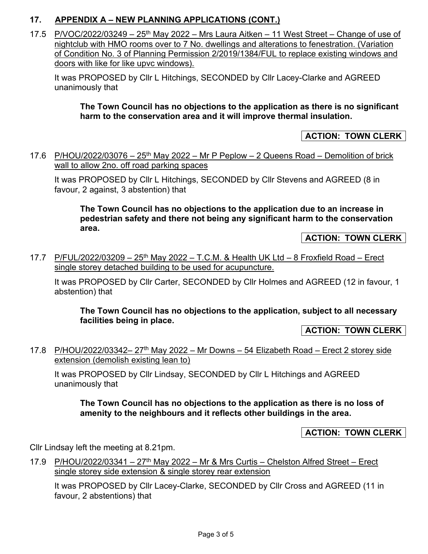# **17. APPENDIX A – NEW PLANNING APPLICATIONS (CONT.)**

17.5  $P/10C/2022/03249 - 25<sup>th</sup>$  May 2022 – Mrs Laura Aitken – 11 West Street – Change of use of nightclub with HMO rooms over to 7 No. dwellings and alterations to fenestration. (Variation of Condition No. 3 of Planning Permission 2/2019/1384/FUL to replace existing windows and doors with like for like upvc windows).

It was PROPOSED by Cllr L Hitchings, SECONDED by Cllr Lacey-Clarke and AGREED unanimously that

**The Town Council has no objections to the application as there is no significant harm to the conservation area and it will improve thermal insulation.** 

**ACTION: TOWN CLERK** 

17.6 P/HOU/2022/03076 – 25<sup>th</sup> May 2022 – Mr P Peplow – 2 Queens Road – Demolition of brick wall to allow 2no. off road parking spaces

It was PROPOSED by Cllr L Hitchings, SECONDED by Cllr Stevens and AGREED (8 in favour, 2 against, 3 abstention) that

**The Town Council has no objections to the application due to an increase in pedestrian safety and there not being any significant harm to the conservation area.** 

**ACTION: TOWN CLERK** 

17.7 P/FUL/2022/03209 – 25<sup>th</sup> May 2022 – T.C.M. & Health UK Ltd – 8 Froxfield Road – Erect single storey detached building to be used for acupuncture.

It was PROPOSED by Cllr Carter, SECONDED by Cllr Holmes and AGREED (12 in favour, 1 abstention) that

**The Town Council has no objections to the application, subject to all necessary facilities being in place.** 

**ACTION: TOWN CLERK** 

17.8 P/HOU/2022/03342–  $27<sup>th</sup>$  May 2022 – Mr Downs – 54 Elizabeth Road – Erect 2 storey side extension (demolish existing lean to)

It was PROPOSED by Cllr Lindsay, SECONDED by Cllr L Hitchings and AGREED unanimously that

## **The Town Council has no objections to the application as there is no loss of amenity to the neighbours and it reflects other buildings in the area.**

**ACTION: TOWN CLERK** 

Cllr Lindsay left the meeting at 8.21pm.

17.9 P/HOU/2022/03341 – 27<sup>th</sup> May 2022 – Mr & Mrs Curtis – Chelston Alfred Street – Erect single storey side extension & single storey rear extension

It was PROPOSED by Cllr Lacey-Clarke, SECONDED by Cllr Cross and AGREED (11 in favour, 2 abstentions) that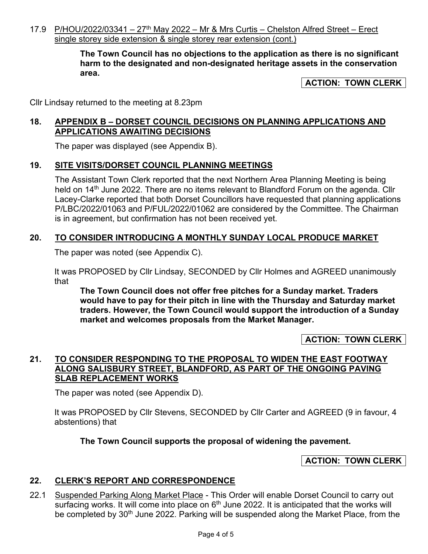17.9 P/HOU/2022/03341 –  $27<sup>th</sup>$  May 2022 – Mr & Mrs Curtis – Chelston Alfred Street – Erect single storey side extension & single storey rear extension (cont.)

> **The Town Council has no objections to the application as there is no significant harm to the designated and non-designated heritage assets in the conservation area.**

> > **ACTION: TOWN CLERK**

Cllr Lindsay returned to the meeting at 8.23pm

## **18. APPENDIX B – DORSET COUNCIL DECISIONS ON PLANNING APPLICATIONS AND APPLICATIONS AWAITING DECISIONS**

The paper was displayed (see Appendix B).

### **19. SITE VISITS/DORSET COUNCIL PLANNING MEETINGS**

The Assistant Town Clerk reported that the next Northern Area Planning Meeting is being held on 14<sup>th</sup> June 2022. There are no items relevant to Blandford Forum on the agenda. Cllr Lacey-Clarke reported that both Dorset Councillors have requested that planning applications P/LBC/2022/01063 and P/FUL/2022/01062 are considered by the Committee. The Chairman is in agreement, but confirmation has not been received yet.

### **20. TO CONSIDER INTRODUCING A MONTHLY SUNDAY LOCAL PRODUCE MARKET**

The paper was noted (see Appendix C).

It was PROPOSED by Cllr Lindsay, SECONDED by Cllr Holmes and AGREED unanimously that

**The Town Council does not offer free pitches for a Sunday market. Traders would have to pay for their pitch in line with the Thursday and Saturday market traders. However, the Town Council would support the introduction of a Sunday market and welcomes proposals from the Market Manager.** 

**ACTION: TOWN CLERK** 

### **21. TO CONSIDER RESPONDING TO THE PROPOSAL TO WIDEN THE EAST FOOTWAY ALONG SALISBURY STREET, BLANDFORD, AS PART OF THE ONGOING PAVING SLAB REPLACEMENT WORKS**

The paper was noted (see Appendix D).

It was PROPOSED by Cllr Stevens, SECONDED by Cllr Carter and AGREED (9 in favour, 4 abstentions) that

**The Town Council supports the proposal of widening the pavement.** 

### **ACTION: TOWN CLERK**

### **22. CLERK'S REPORT AND CORRESPONDENCE**

22.1 Suspended Parking Along Market Place - This Order will enable Dorset Council to carry out surfacing works. It will come into place on 6<sup>th</sup> June 2022. It is anticipated that the works will be completed by 30<sup>th</sup> June 2022. Parking will be suspended along the Market Place, from the